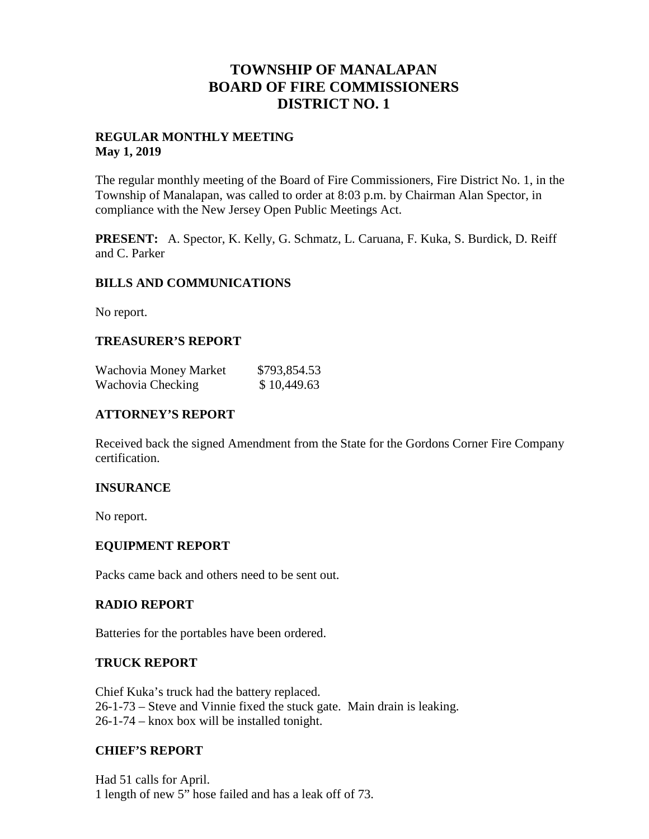# **TOWNSHIP OF MANALAPAN BOARD OF FIRE COMMISSIONERS DISTRICT NO. 1**

#### **REGULAR MONTHLY MEETING May 1, 2019**

The regular monthly meeting of the Board of Fire Commissioners, Fire District No. 1, in the Township of Manalapan, was called to order at 8:03 p.m. by Chairman Alan Spector, in compliance with the New Jersey Open Public Meetings Act.

**PRESENT:** A. Spector, K. Kelly, G. Schmatz, L. Caruana, F. Kuka, S. Burdick, D. Reiff and C. Parker

#### **BILLS AND COMMUNICATIONS**

No report.

#### **TREASURER'S REPORT**

| Wachovia Money Market | \$793,854.53 |
|-----------------------|--------------|
| Wachovia Checking     | \$10,449.63  |

#### **ATTORNEY'S REPORT**

Received back the signed Amendment from the State for the Gordons Corner Fire Company certification.

#### **INSURANCE**

No report.

#### **EQUIPMENT REPORT**

Packs came back and others need to be sent out.

#### **RADIO REPORT**

Batteries for the portables have been ordered.

#### **TRUCK REPORT**

Chief Kuka's truck had the battery replaced. 26-1-73 – Steve and Vinnie fixed the stuck gate. Main drain is leaking. 26-1-74 – knox box will be installed tonight.

#### **CHIEF'S REPORT**

Had 51 calls for April. 1 length of new 5" hose failed and has a leak off of 73.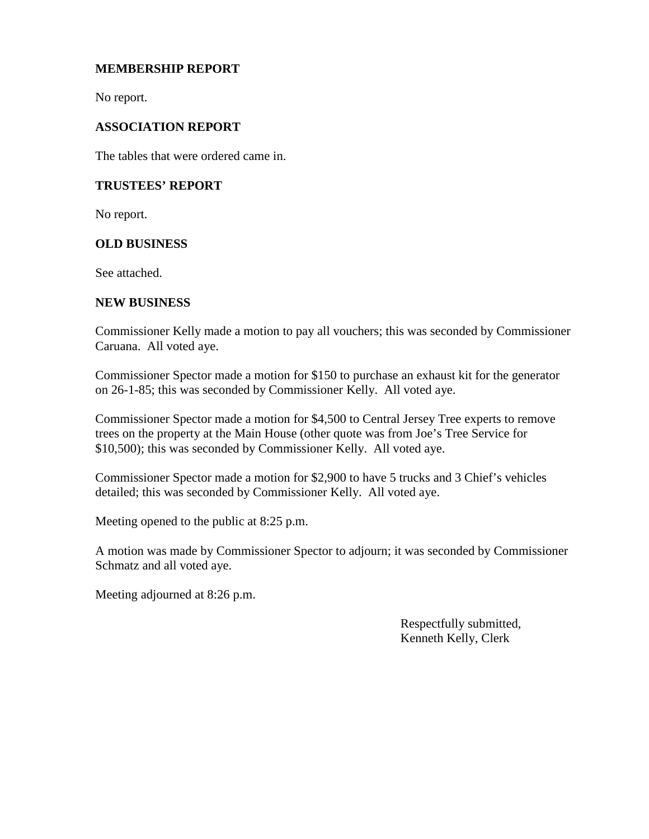### **MEMBERSHIP REPORT**

No report.

### **ASSOCIATION REPORT**

The tables that were ordered came in.

#### **TRUSTEES' REPORT**

No report.

#### **OLD BUSINESS**

See attached.

#### **NEW BUSINESS**

Commissioner Kelly made a motion to pay all vouchers; this was seconded by Commissioner Caruana. All voted aye.

Commissioner Spector made a motion for \$150 to purchase an exhaust kit for the generator on 26-1-85; this was seconded by Commissioner Kelly. All voted aye.

Commissioner Spector made a motion for \$4,500 to Central Jersey Tree experts to remove trees on the property at the Main House (other quote was from Joe's Tree Service for \$10,500); this was seconded by Commissioner Kelly. All voted aye.

Commissioner Spector made a motion for \$2,900 to have 5 trucks and 3 Chief's vehicles detailed; this was seconded by Commissioner Kelly. All voted aye.

Meeting opened to the public at 8:25 p.m.

A motion was made by Commissioner Spector to adjourn; it was seconded by Commissioner Schmatz and all voted aye.

Meeting adjourned at 8:26 p.m.

Respectfully submitted, Kenneth Kelly, Clerk